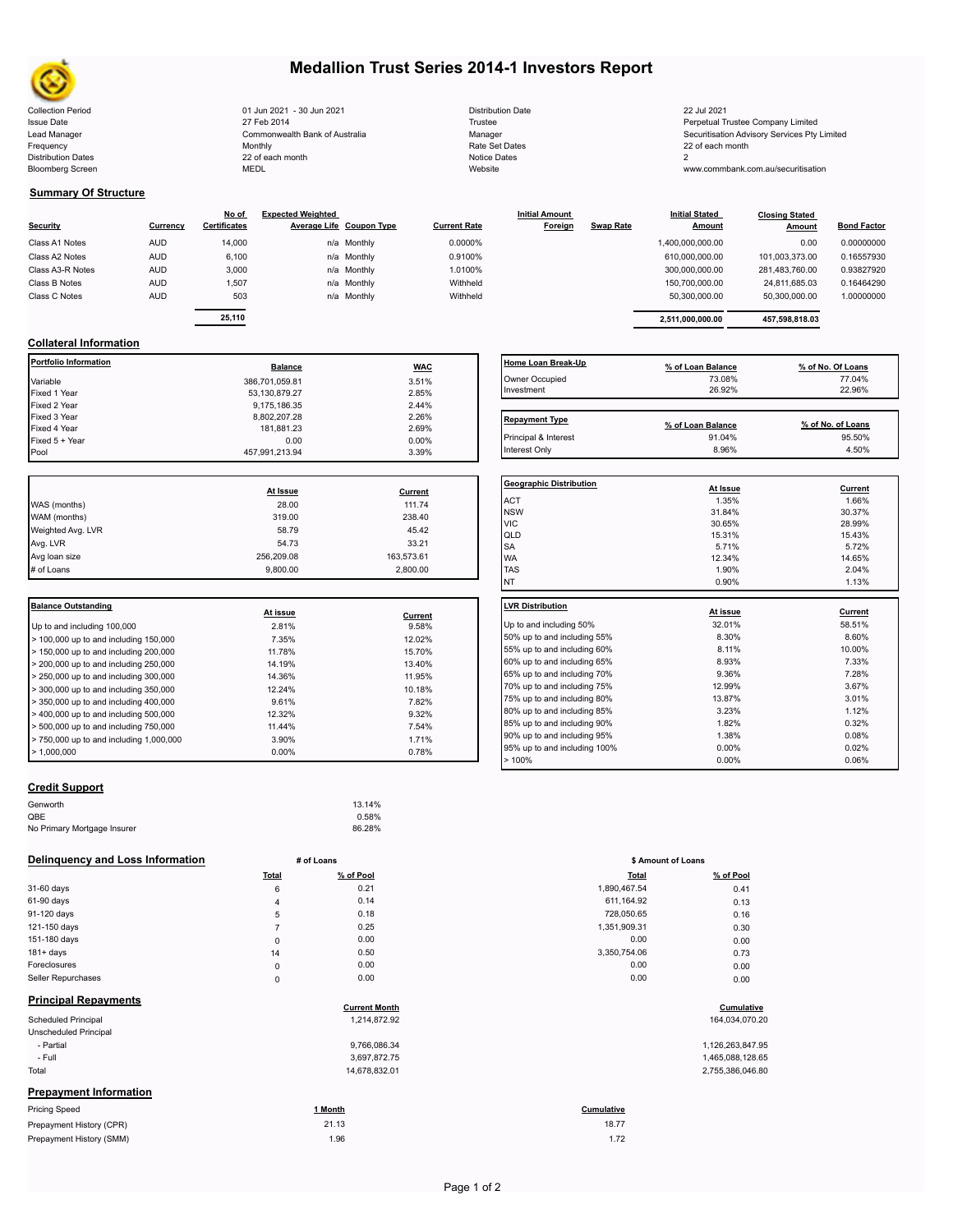

## **Medallion Trust Series 2014-1 Investors Report**

Collection Period 01 Jun 2021 - 30 Jun 2021 Distribution Date 22 Jul 2021 Issue Date 2014 27 Feb 2014 27 Feb 2014 27 Feb 2014 27 Feb 2014 27 Feb 2014 28 Ferretual Trustee Company Limited Lead Manager **Commonwealth Bank of Australia** Manager Manager Manager Securitisation Advisory Services Pty Limited<br>The Rate Securitisation Advisory Services Pty Limited<br>The Manager Securitisation Advisory Services Pty Limi Frequency and the Monthly Monthly Monthly Rate Set Dates Rate Set Dates 22 of each month Distribution Dates 22 of each month Notice Dates 22 of each month Notice Dates 2 Bloomberg Screen MEDL MEDL MEDL Website Website www.commbank.com.au/securitisation

| Distribution Date   |
|---------------------|
| Trustee             |
| Manager             |
| Rate Set Dates      |
| <b>Notice Dates</b> |
| Website             |

Interest Only the control of the control of the control of the control of the control of the control of the control of the control of the control of the control of the control of the control of the control of the control o

### **Summary Of Structure**

| Security         | Currency   | No of<br><b>Certificates</b> | <b>Expected Weighted</b><br><b>Average Life Coupon Type</b> | <b>Current Rate</b> | <b>Initial Amount</b><br>Foreign | <b>Initial Stated</b><br><b>Swap Rate</b><br><b>Amount</b> | <b>Closing Stated</b><br>Amount | <b>Bond Factor</b> |
|------------------|------------|------------------------------|-------------------------------------------------------------|---------------------|----------------------------------|------------------------------------------------------------|---------------------------------|--------------------|
| Class A1 Notes   | <b>AUD</b> | 14,000                       | n/a Monthly                                                 | 0.0000%             |                                  | 1,400,000,000.00                                           | 0.00                            | 0.00000000         |
| Class A2 Notes   | <b>AUD</b> | 6,100                        | n/a Monthly                                                 | 0.9100%             |                                  | 610,000,000.00                                             | 101,003,373.00                  | 0.16557930         |
| Class A3-R Notes | <b>AUD</b> | 3,000                        | n/a Monthly                                                 | 1.0100%             |                                  | 300,000,000.00                                             | 281,483,760.00                  | 0.93827920         |
| Class B Notes    | <b>AUD</b> | 1,507                        | n/a Monthly                                                 | Withheld            |                                  | 150,700,000.00                                             | 24,811,685.03                   | 0.16464290         |
| Class C Notes    | <b>AUD</b> | 503                          | n/a Monthly                                                 | Withheld            |                                  | 50.300.000.00                                              | 50,300,000.00                   | 1.00000000         |
|                  |            |                              |                                                             |                     |                                  |                                                            |                                 |                    |
|                  |            | 25,110                       |                                                             |                     |                                  | 2,511,000,000.00                                           | 457,598,818.03                  |                    |

### **Collateral Information**

| Portfolio Information | <b>Balance</b> | <b>WAC</b> | <b>Home Loan Break</b> |
|-----------------------|----------------|------------|------------------------|
| Variable              | 386,701,059.81 | 3.51%      | Owner Occupied         |
| Fixed 1 Year          | 53,130,879.27  | 2.85%      | Investment             |
| Fixed 2 Year          | 9,175,186.35   | 2.44%      |                        |
| Fixed 3 Year          | 8,802,207.28   | 2.26%      | <b>Repayment Type</b>  |
| Fixed 4 Year          | 181.881.23     | 2.69%      |                        |
| Fixed 5 + Year        | 0.00           | $0.00\%$   | Principal & Interest   |
| Pool                  | 457.991.213.94 | 3.39%      | Interest Only          |

|                   |            |            | Geo              |
|-------------------|------------|------------|------------------|
|                   | At Issue   | Current    |                  |
| WAS (months)      | 28.00      | 111.74     | AC <sup>-</sup>  |
| WAM (months)      | 319.00     | 238.40     | <b>NS</b><br>VIC |
| Weighted Avg. LVR | 58.79      | 45.42      | QLI              |
| Avg. LVR          | 54.73      | 33.21      | <b>SA</b>        |
| Avg loan size     | 256.209.08 | 163,573.61 | <b>WA</b>        |
| # of Loans        | 9.800.00   | 2.800.00   | <b>TAS</b>       |
|                   |            |            |                  |

| <b>Balance Outstanding</b>              | At issue | Current | <b>ILVR Distribution</b> |
|-----------------------------------------|----------|---------|--------------------------|
| Up to and including 100,000             | 2.81%    | 9.58%   | Up to and including      |
| $>$ 100,000 up to and including 150,000 | 7.35%    | 12.02%  | 50% up to and incl       |
| > 150,000 up to and including 200,000   | 11.78%   | 15.70%  | 55% up to and incl       |
| $> 200,000$ up to and including 250,000 | 14.19%   | 13.40%  | 60% up to and incl       |
| > 250,000 up to and including 300,000   | 14.36%   | 11.95%  | 65% up to and incl       |
| $>$ 300,000 up to and including 350,000 | 12.24%   | 10.18%  | 70% up to and incl       |
| $>$ 350,000 up to and including 400,000 | 9.61%    | 7.82%   | 75% up to and incl       |
| $>$ 400,000 up to and including 500,000 | 12.32%   | 9.32%   | 80% up to and incl       |
| $>$ 500,000 up to and including 750,000 | 11.44%   | 7.54%   | 85% up to and incl       |
| > 750,000 up to and including 1,000,000 | 3.90%    | 1.71%   | 90% up to and incl       |
| > 1.000.000                             | $0.00\%$ | 0.78%   | 95% up to and incl       |
|                                         |          |         |                          |

### **Credit Support**

| Genworth                    | 13.14% |
|-----------------------------|--------|
| QBE                         | 0.58%  |
| No Primary Mortgage Insurer | 86.28% |

### **Delinquency and Loss Information # of Loans**

|                               | Total          | % of Pool            | <b>Total</b> | % of Pool        |
|-------------------------------|----------------|----------------------|--------------|------------------|
| 31-60 days                    | 6              | 0.21                 | 1,890,467.54 | 0.41             |
| 61-90 days                    | 4              | 0.14                 | 611, 164.92  | 0.13             |
| 91-120 days                   | 5              | 0.18                 | 728,050.65   | 0.16             |
| 121-150 days                  | $\overline{7}$ | 0.25                 | 1,351,909.31 | 0.30             |
| 151-180 days                  | $\mathbf 0$    | 0.00                 | 0.00         | 0.00             |
| $181 + days$                  | 14             | 0.50                 | 3,350,754.06 | 0.73             |
| Foreclosures                  | $\mathsf 0$    | 0.00                 | 0.00         | 0.00             |
| Seller Repurchases            | $\mathsf 0$    | 0.00                 | 0.00         | 0.00             |
| <b>Principal Repayments</b>   |                | <b>Current Month</b> |              | Cumulative       |
| <b>Scheduled Principal</b>    |                | 1,214,872.92         |              | 164,034,070.20   |
| Unscheduled Principal         |                |                      |              |                  |
| - Partial                     |                | 9,766,086.34         |              | 1,126,263,847.95 |
| - Full                        |                | 3,697,872.75         |              | 1,465,088,128.65 |
| Total                         |                | 14,678,832.01        |              | 2,755,386,046.80 |
| <b>Prepayment Information</b> |                |                      |              |                  |
| <b>Pricing Speed</b>          |                | 1 Month              | Cumulative   |                  |
| Prepayment History (CPR)      |                | 21.13                | 18.77        |                  |
| Prepayment History (SMM)      |                | 1.96                 | 1.72         |                  |

| Home Loan Break-Up    | % of Loan Balance | % of No. Of Loans |
|-----------------------|-------------------|-------------------|
| Owner Occupied        | 73.08%            | 77.04%            |
| Investment            | 26.92%            | 22.96%            |
|                       |                   |                   |
| <b>Repayment Type</b> | % of Loan Balance | % of No. of Loans |
| Principal & Interest  | 91.04%            | 95.50%            |

| <b>Geographic Distribution</b> | At Issue | Current |
|--------------------------------|----------|---------|
| <b>ACT</b>                     | 1.35%    | 1.66%   |
| <b>NSW</b>                     | 31.84%   | 30.37%  |
| <b>VIC</b>                     | 30.65%   | 28.99%  |
| QLD                            | 15.31%   | 15.43%  |
| SA                             | 5.71%    | 5.72%   |
| <b>WA</b>                      | 12.34%   | 14.65%  |
| <b>TAS</b>                     | 1.90%    | 2.04%   |
| <b>NT</b>                      | 0.90%    | 1.13%   |
| <b>LVR Distribution</b>        | At issue | Current |
| Up to and including 50%        | 32.01%   | 58.51%  |
| 50% up to and including 55%    | 8.30%    | 8.60%   |
| 55% up to and including 60%    | 8.11%    | 10.00%  |
| 60% up to and including 65%    | 8.93%    | 7.33%   |
| 65% up to and including 70%    | 9.36%    | 7.28%   |
| 70% up to and including 75%    | 12.99%   | 3.67%   |
| 75% up to and including 80%    | 13.87%   | 3.01%   |
| 80% up to and including 85%    | 3.23%    | 1.12%   |
| 85% up to and including 90%    | 1.82%    | 0.32%   |
| 90% up to and including 95%    | 1.38%    | 0.08%   |
| 95% up to and including 100%   | 0.00%    | 0.02%   |
| >100%                          | 0.00%    | 0.06%   |

| # of Loans     |           | \$ Amount of Loans |           |
|----------------|-----------|--------------------|-----------|
| Total          | % of Pool | <b>Total</b>       | % of Pool |
| 6              | 0.21      | 1,890,467.54       | 0.41      |
| $\overline{4}$ | 0.14      | 611,164.92         | 0.13      |
| 5              | 0.18      | 728,050.65         | 0.16      |
| 7              | 0.25      | 1,351,909.31       | 0.30      |
| 0              | 0.00      | 0.00               | 0.00      |
| 14             | 0.50      | 3,350,754.06       | 0.73      |
| 0              | 0.00      | 0.00               | 0.00      |
| 0              | 0.00      | 0.00               | 0.00      |

# **cumulative**<br>
2 164,034,070.20<br>
2 164,034,070.20

| 1,126,263,847.95 |
|------------------|
| 1,465,088,128.65 |
| 2,755,386,046.80 |